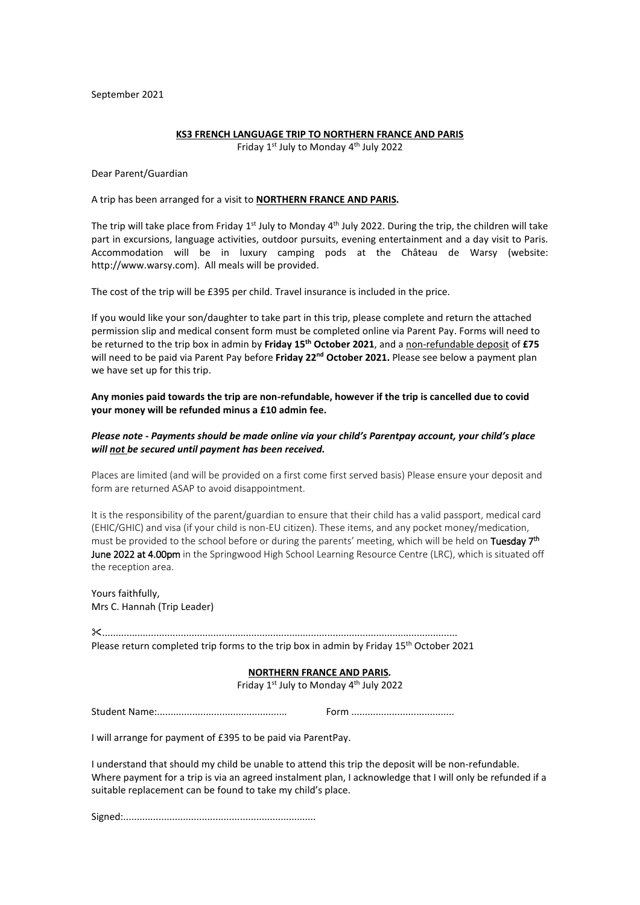September 2021

# **KS3 FRENCH LANGUAGE TRIP TO NORTHERN FRANCE AND PARIS**

Friday 1<sup>st</sup> July to Monday 4<sup>th</sup> July 2022

Dear Parent/Guardian

## A trip has been arranged for a visit to **NORTHERN FRANCE AND PARIS***.*

The trip will take place from Friday 1<sup>st</sup> July to Monday 4<sup>th</sup> July 2022. During the trip, the children will take part in excursions, language activities, outdoor pursuits, evening entertainment and a day visit to Paris. Accommodation will be in luxury camping pods at the Château de Warsy (website: http://www.warsy.com). All meals will be provided.

The cost of the trip will be £395 per child. Travel insurance is included in the price.

If you would like your son/daughter to take part in this trip, please complete and return the attached permission slip and medical consent form must be completed online via Parent Pay. Forms will need to be returned to the trip box in admin by **Friday 15th October 2021**, and a non-refundable deposit of **£75** will need to be paid via Parent Pay before Friday 22<sup>nd</sup> October 2021. Please see below a payment plan we have set up for this trip.

**Any monies paid towards the trip are non-refundable, however if the trip is cancelled due to covid your money will be refunded minus a £10 admin fee.**

## *Please note - Payments should be made online via your child's Parentpay account, your child's place will not be secured until payment has been received.*

Places are limited (and will be provided on a first come first served basis) Please ensure your deposit and form are returned ASAP to avoid disappointment.

It is the responsibility of the parent/guardian to ensure that their child has a valid passport, medical card (EHIC/GHIC) and visa (if your child is non-EU citizen). These items, and any pocket money/medication, must be provided to the school before or during the parents' meeting, which will be held on Tuesday 7<sup>th</sup> June 2022 at 4.00pm in the Springwood High School Learning Resource Centre (LRC), which is situated off the reception area.

Yours faithfully, Mrs C. Hannah (Trip Leader)

...................................................................................................................................

Please return completed trip forms to the trip box in admin by Friday 15<sup>th</sup> October 2021

#### **NORTHERN FRANCE AND PARIS***.*

Friday 1<sup>st</sup> July to Monday 4<sup>th</sup> July 2022

Student Name:................................................ Form ......................................

I will arrange for payment of £395 to be paid via ParentPay.

I understand that should my child be unable to attend this trip the deposit will be non-refundable. Where payment for a trip is via an agreed instalment plan, I acknowledge that I will only be refunded if a suitable replacement can be found to take my child's place.

Signed:.......................................................................